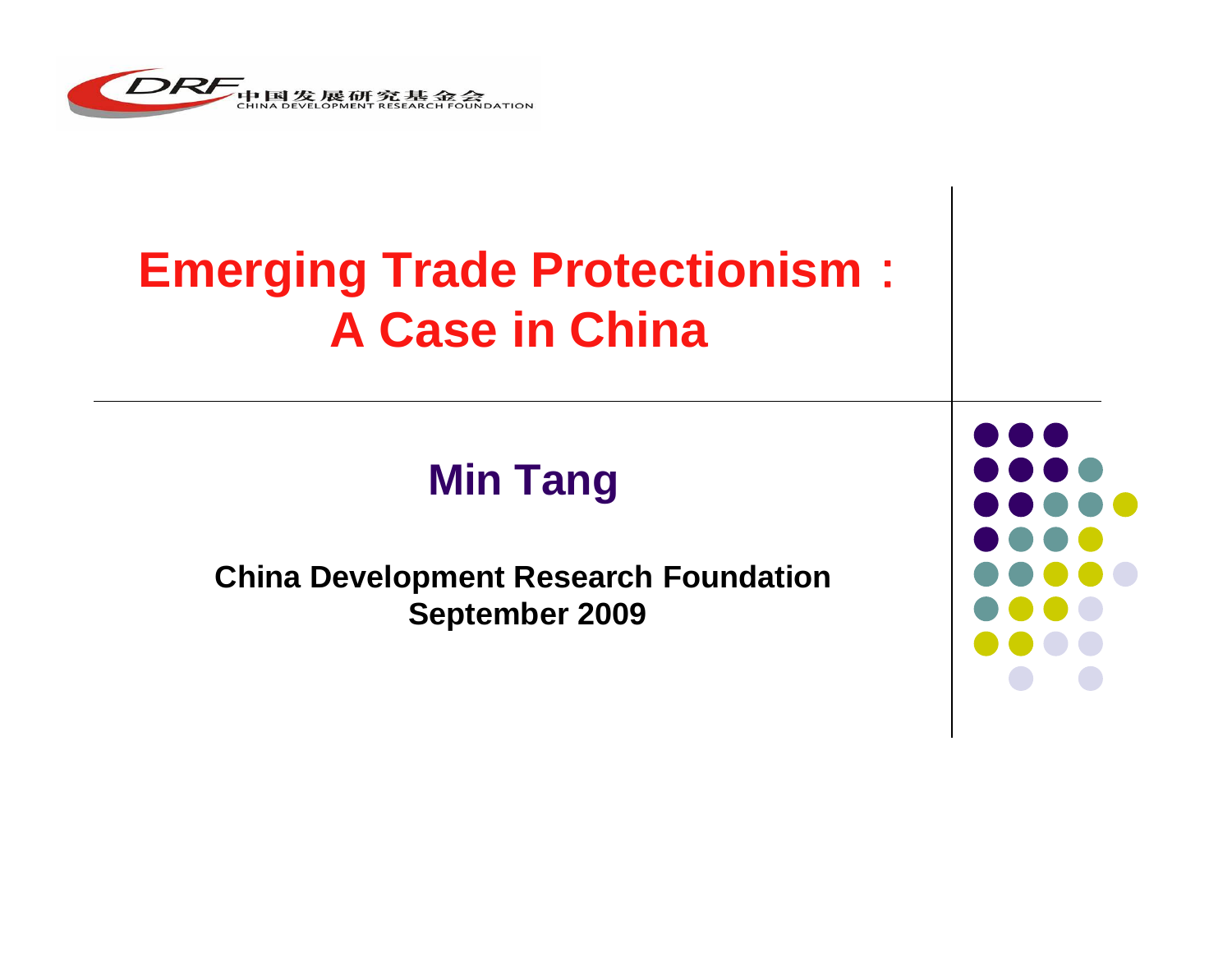

#### **Emerging Trade Protectionism: A Case in China**

#### **Min Tang**

**China Development Research Foundation September 2009**

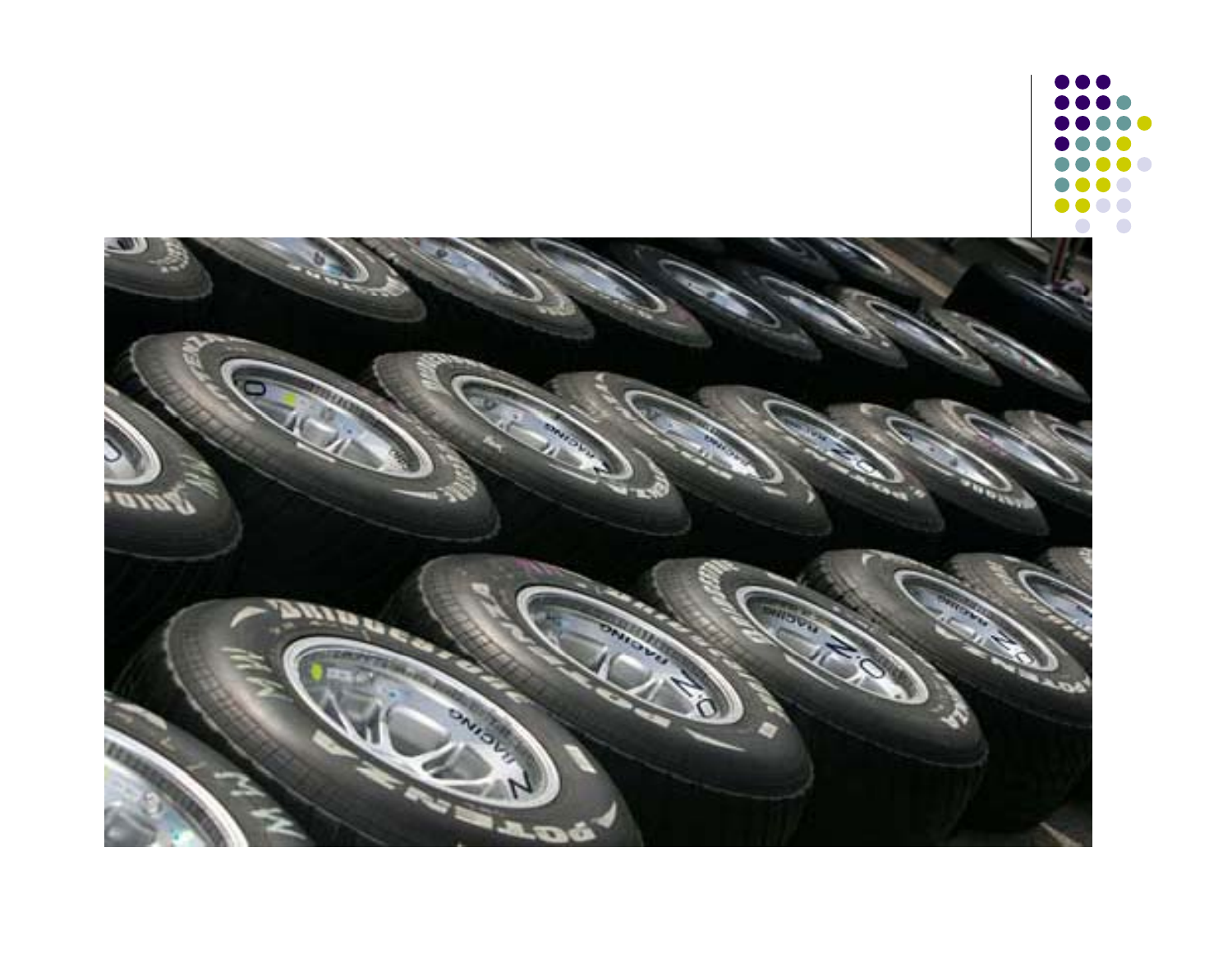

. . .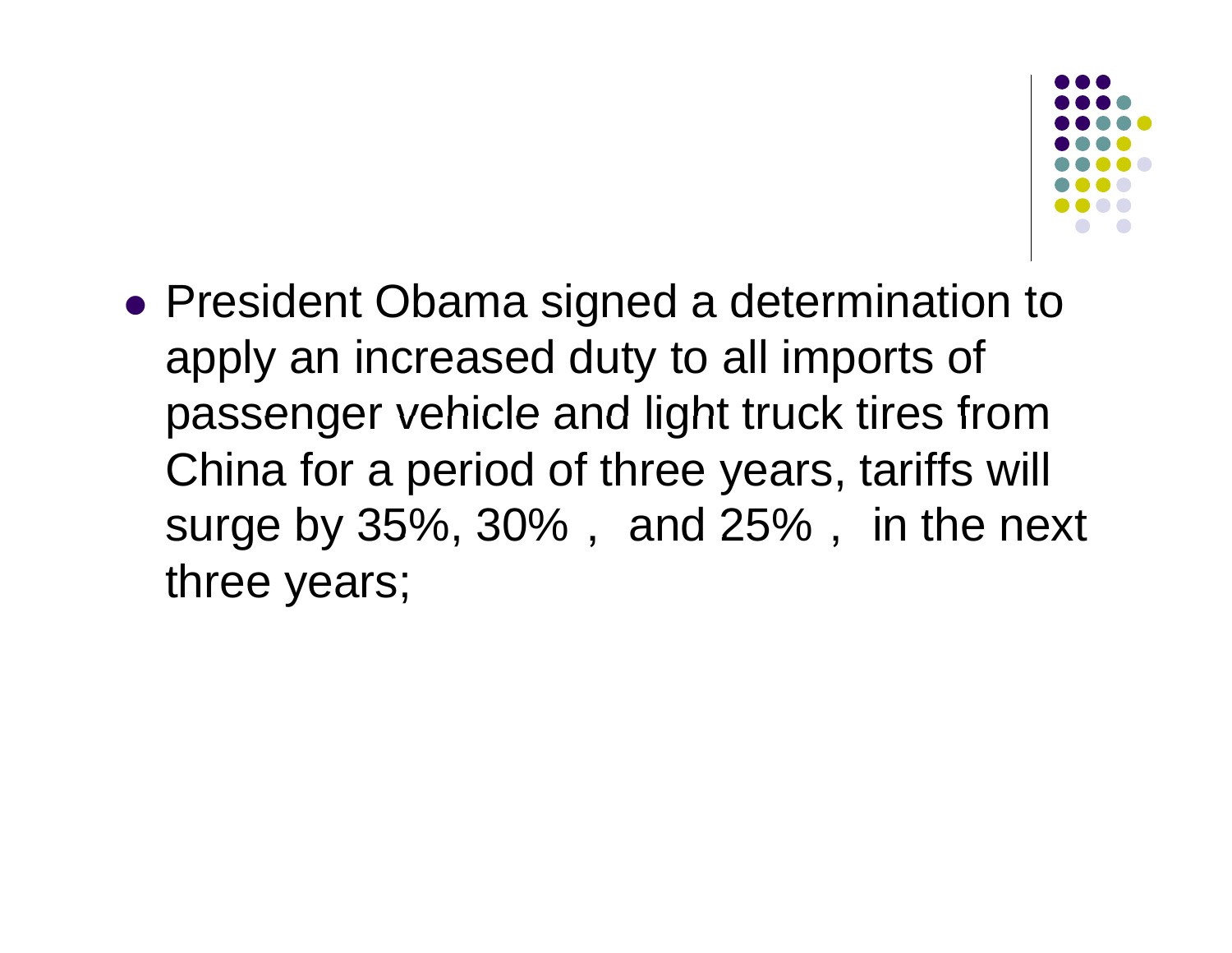

 $\bullet$ • President Obama signed a determination to apply an increased duty to all imports of passenger vehicle and light truck tires from China for a period of three years, tariffs will surge by 35%, 30%, and 25%, in the next three years;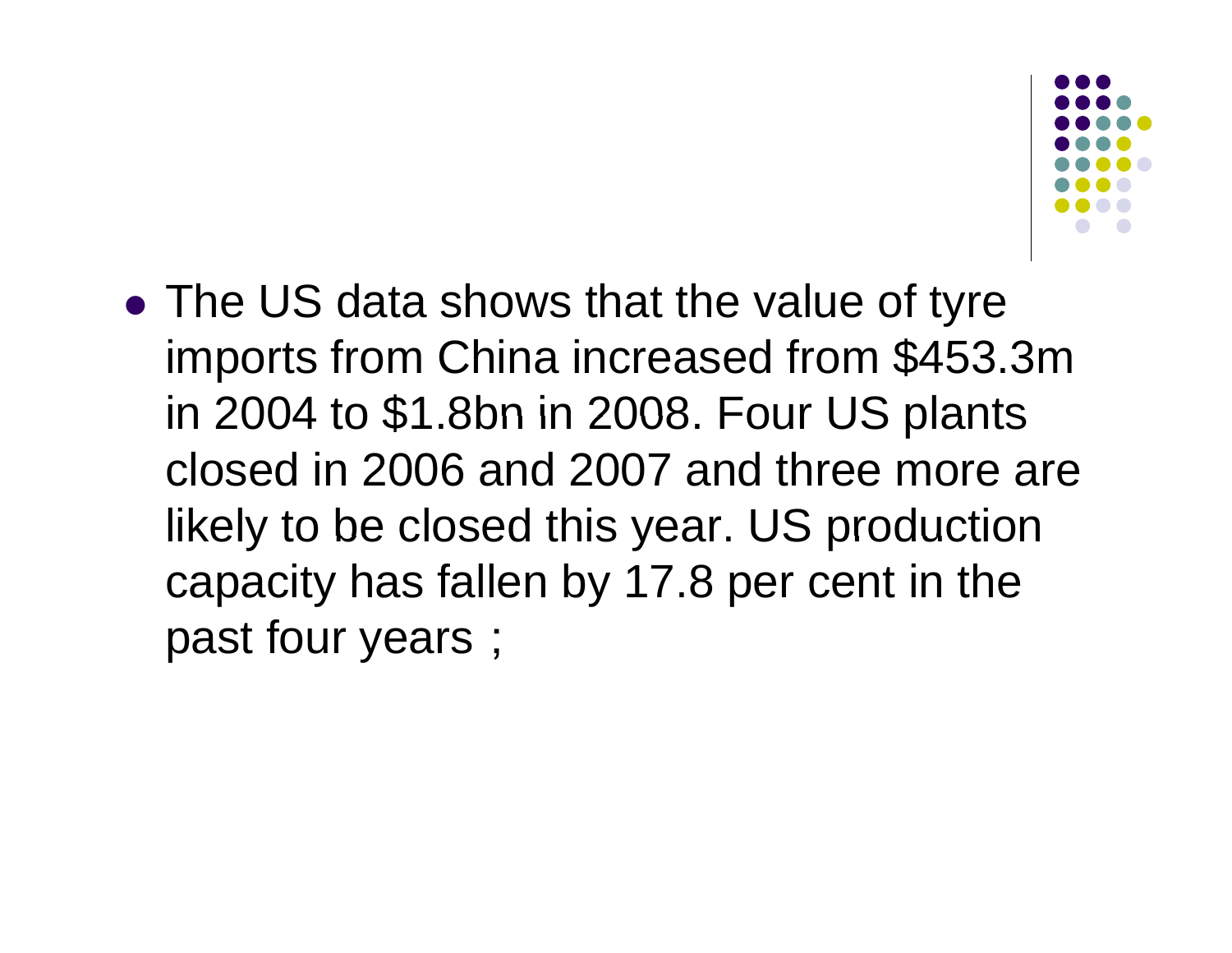

• The US data shows that the value of tyre imports from China increased from \$453.3m in 2004 to  $$1.8$ bn in 2008. Four US plants closed in 2006 and 2007 and three more are likely to be closed this year. US production capacity has fallen by 17.8 per cent in the past four years;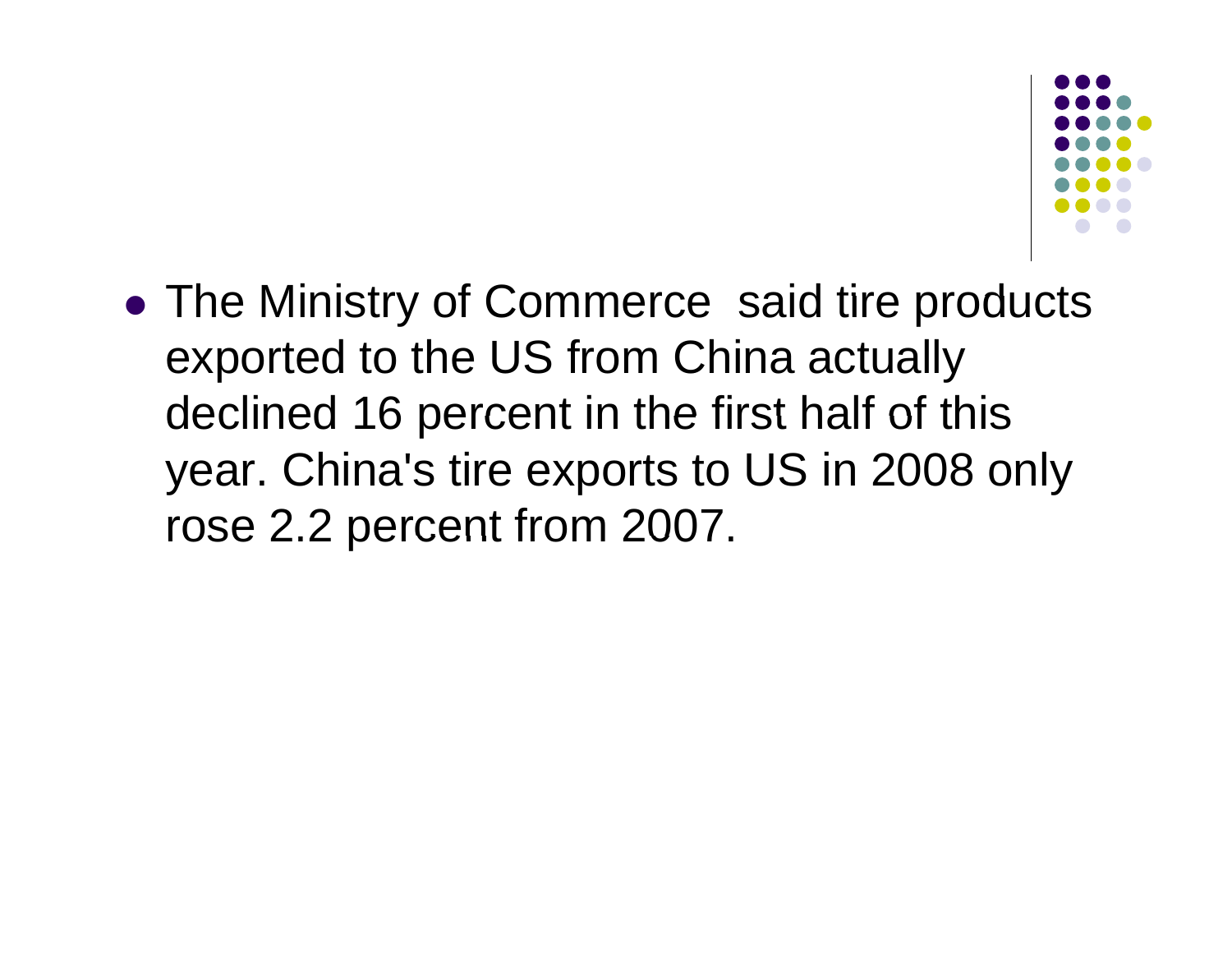

• The Ministry of Commerce said tire products exported to the US from China actually declined 16 percent in the first half of this year. China's tire exports to US in 2008 only rose 2.2 percent from 2007.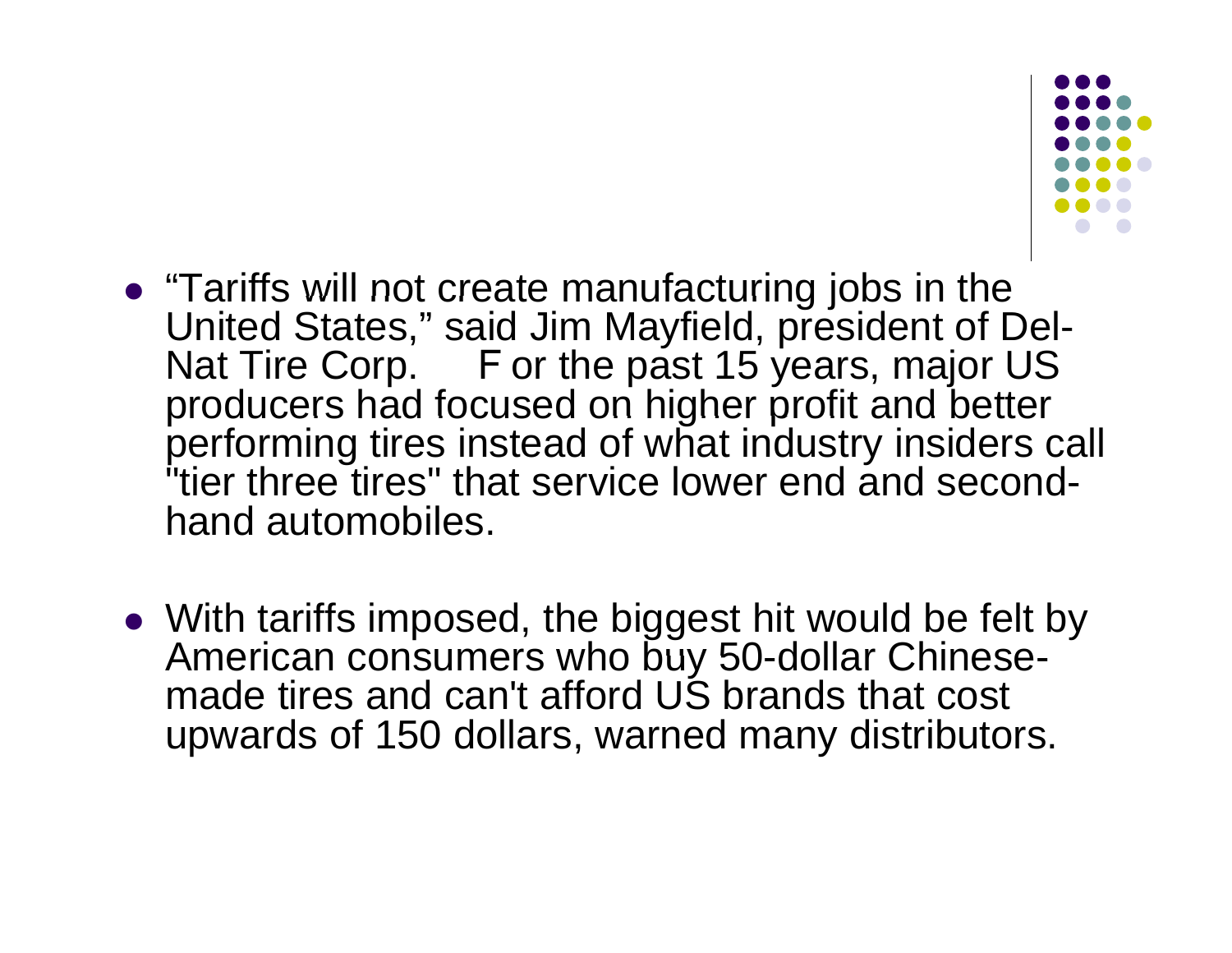

- "Tariffs will not create manufacturing jobs in the United States," said Jim Mayfield, president of Del-<br>Nat Tire Corp. F or the past 15 years, major US producers had focused on higher profit and better performing tires instead of what industry insiders call "tier three tires" that service lower end and secondhand automobiles.
- With tariffs imposed, the biggest hit would be felt by American consumers who buy 50-dollar Chinese-<br>made tires and can't afford US brands that cost upwards of 150 dollars, warned many distributors.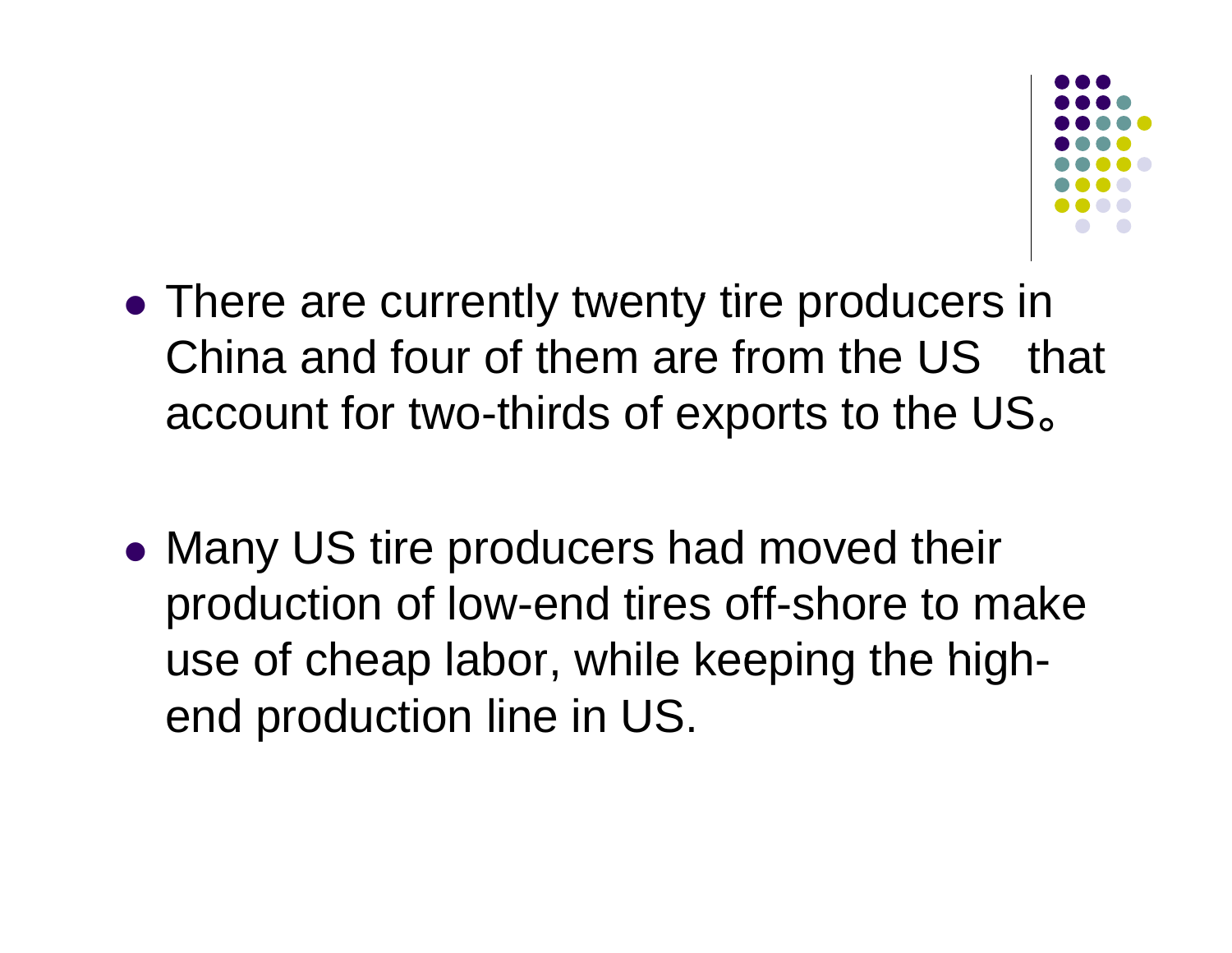

- There are currently twenty tire producers in China and four of them are from the US that account for two-thirds of exports to the US。
- Many US tire producers had moved their production of low-end tires off-shore to make use of cheap labor, while keeping the high end production line in US.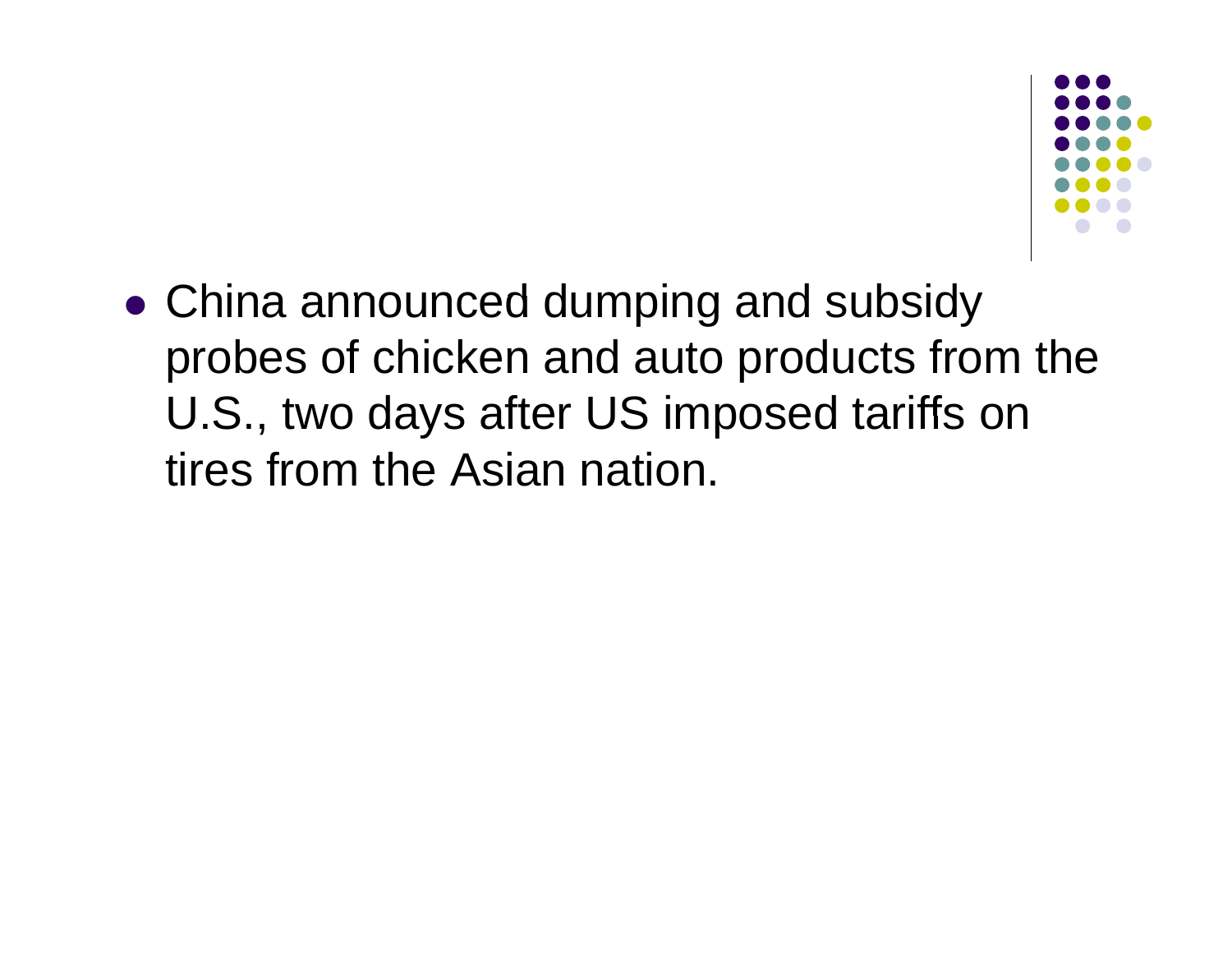

 $\bullet$  $\bullet$  China announced dumping and subsidy probes of chicken and auto products from the U.S., two days after US imposed tariffs on tires from the Asian nation.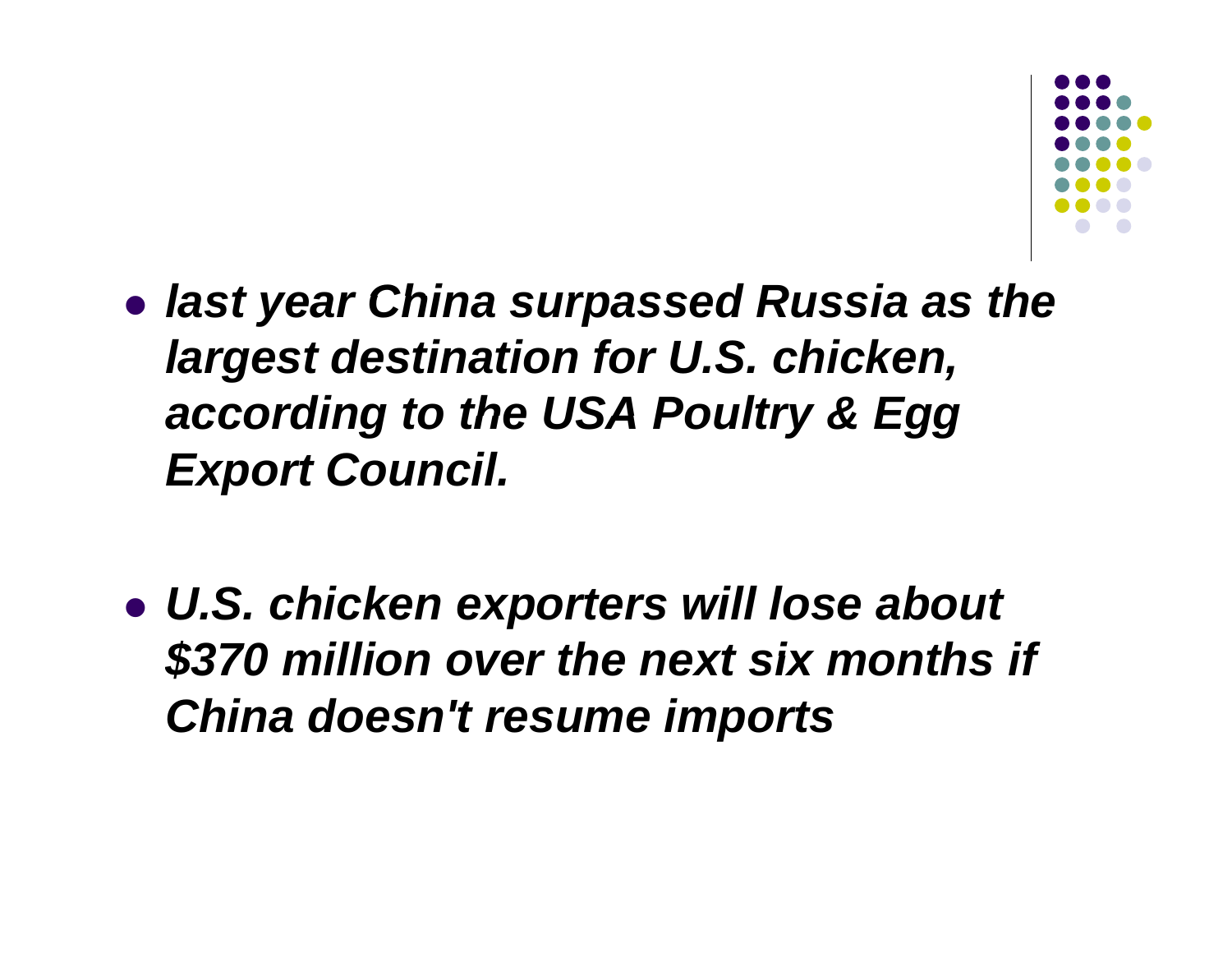

- z *last year China surpassed Russia as the largest destination for U.S. chicken, according to the USA Poultry & Egg Export Council.*
- z *U.S. chicken exporters will lose about \$370 million over the next six months if China doesn't resume imports*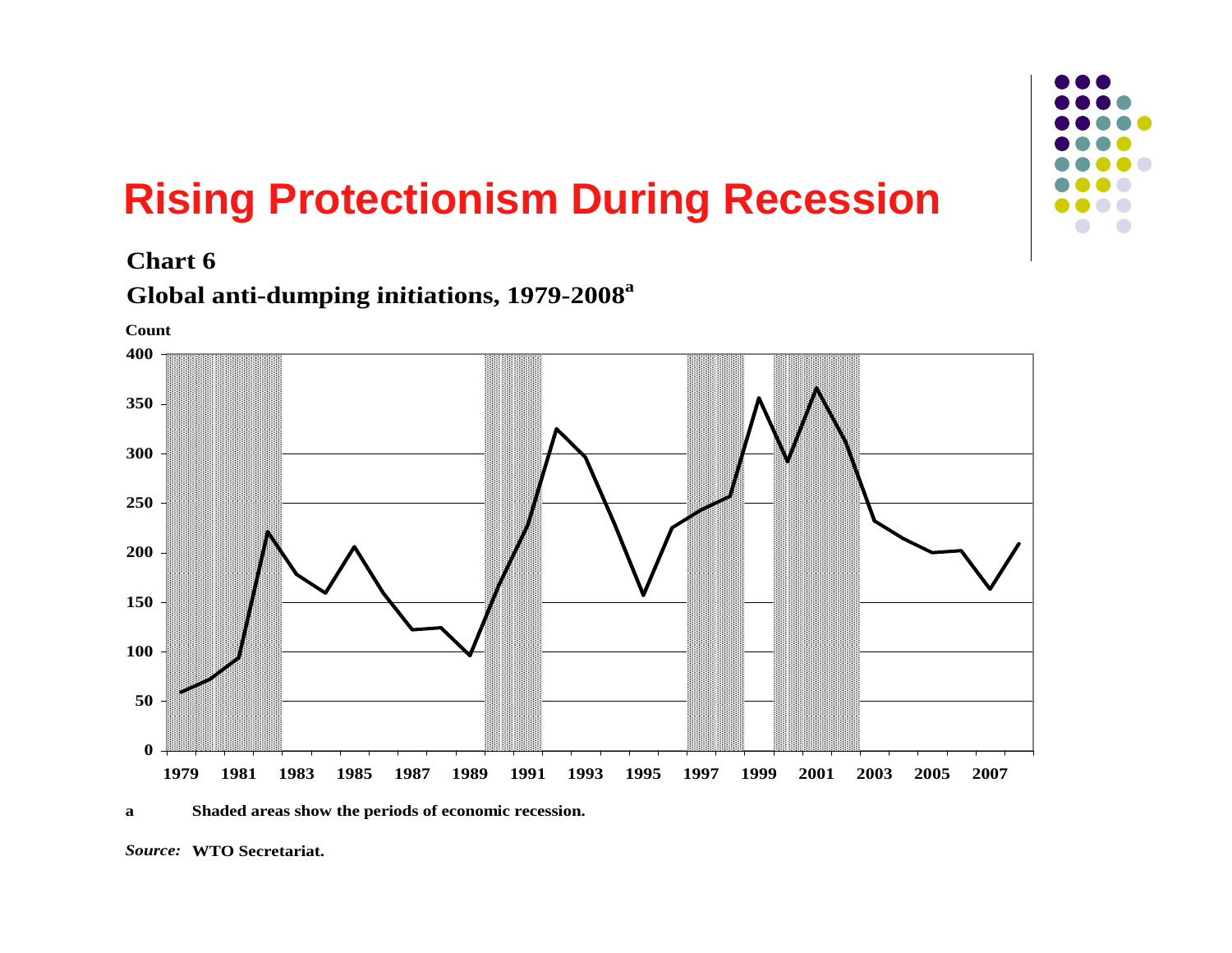

#### **Rising Protectionism During Recession**

#### **Chart 6**

#### $\bf G$ lobal anti-dumping initiations, 1979-2008<sup>a</sup><br><sub>Count</sub>





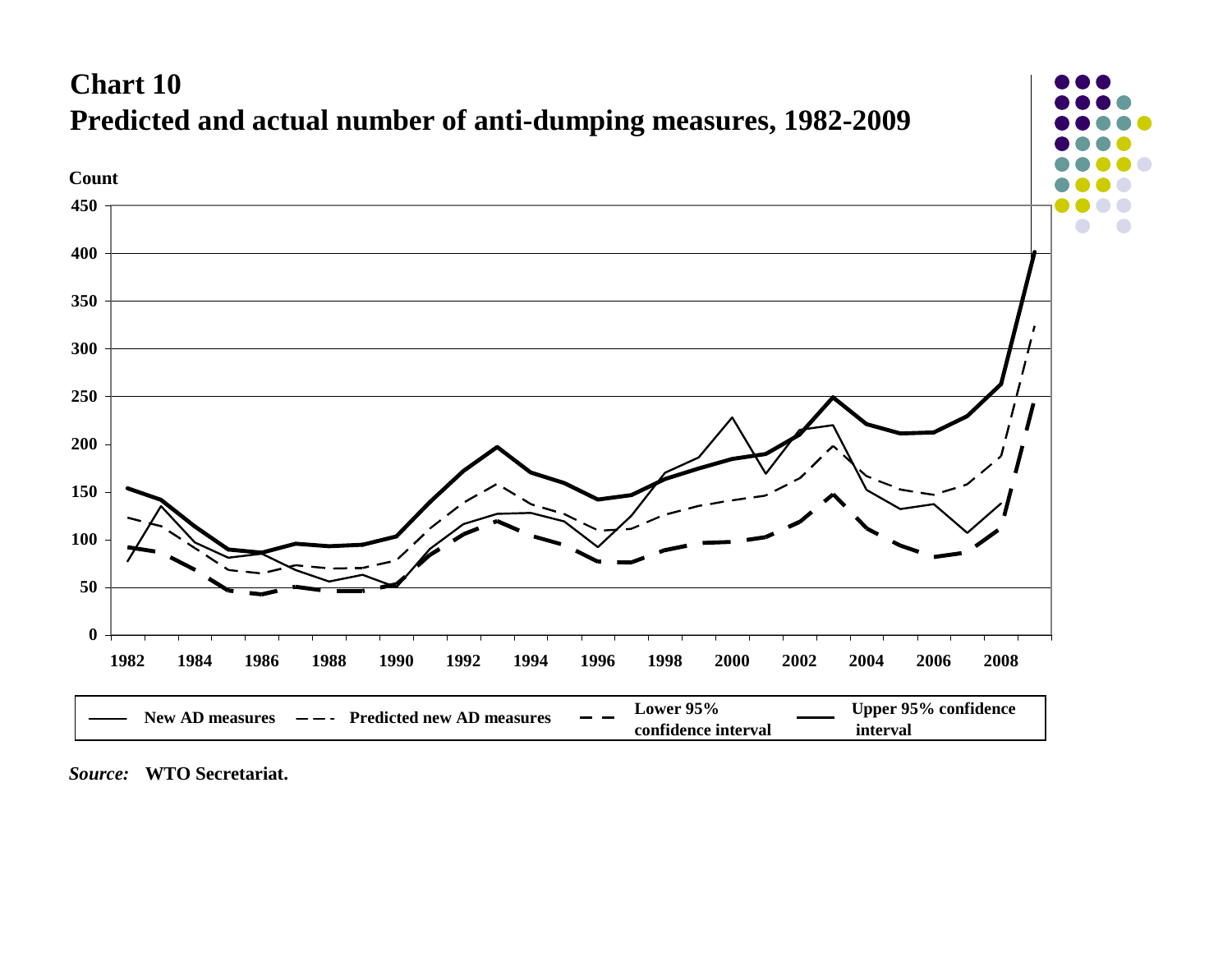

 $Source:$  **WTO Secretariat.**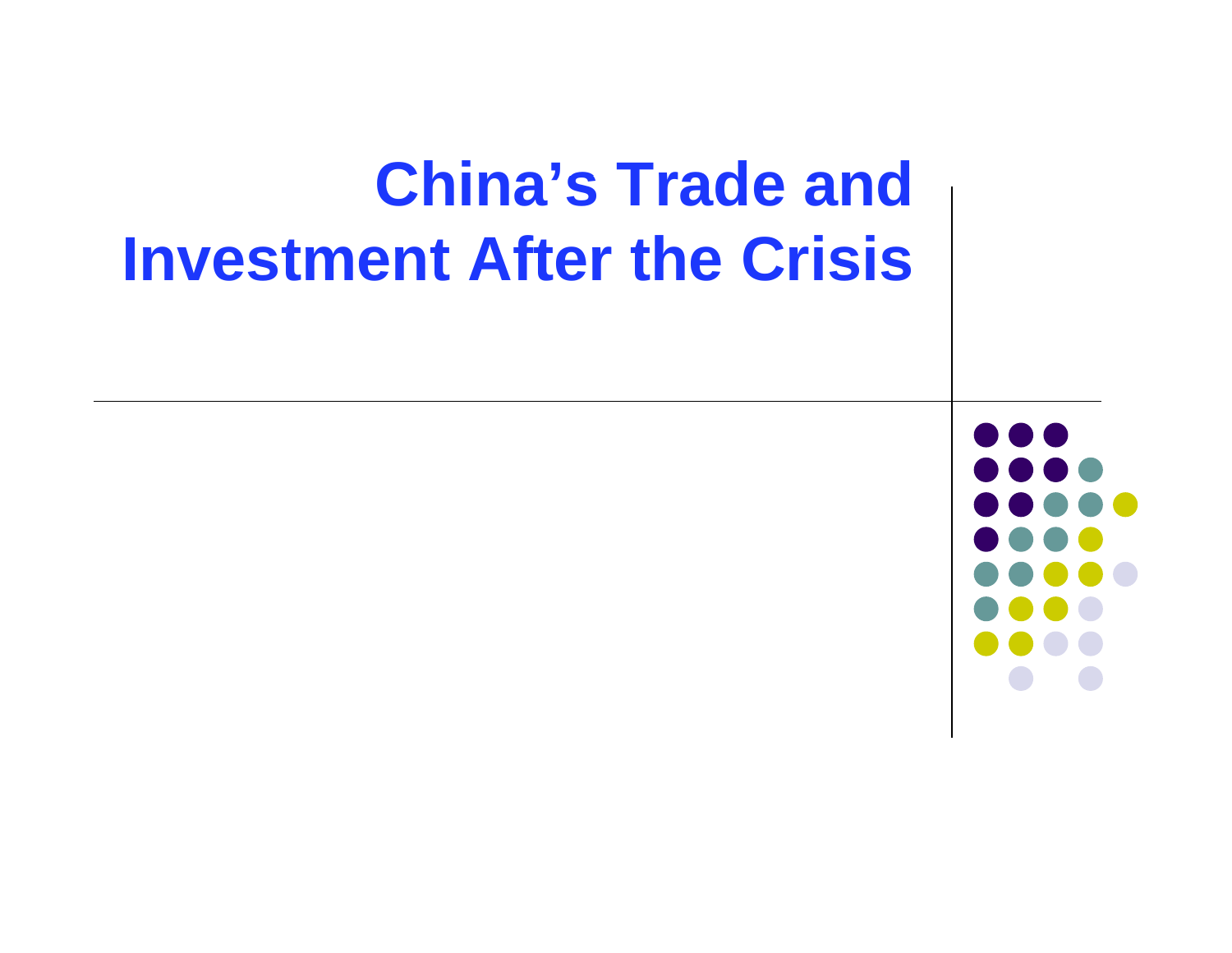## **China's Trade and Investment After the Crisis**

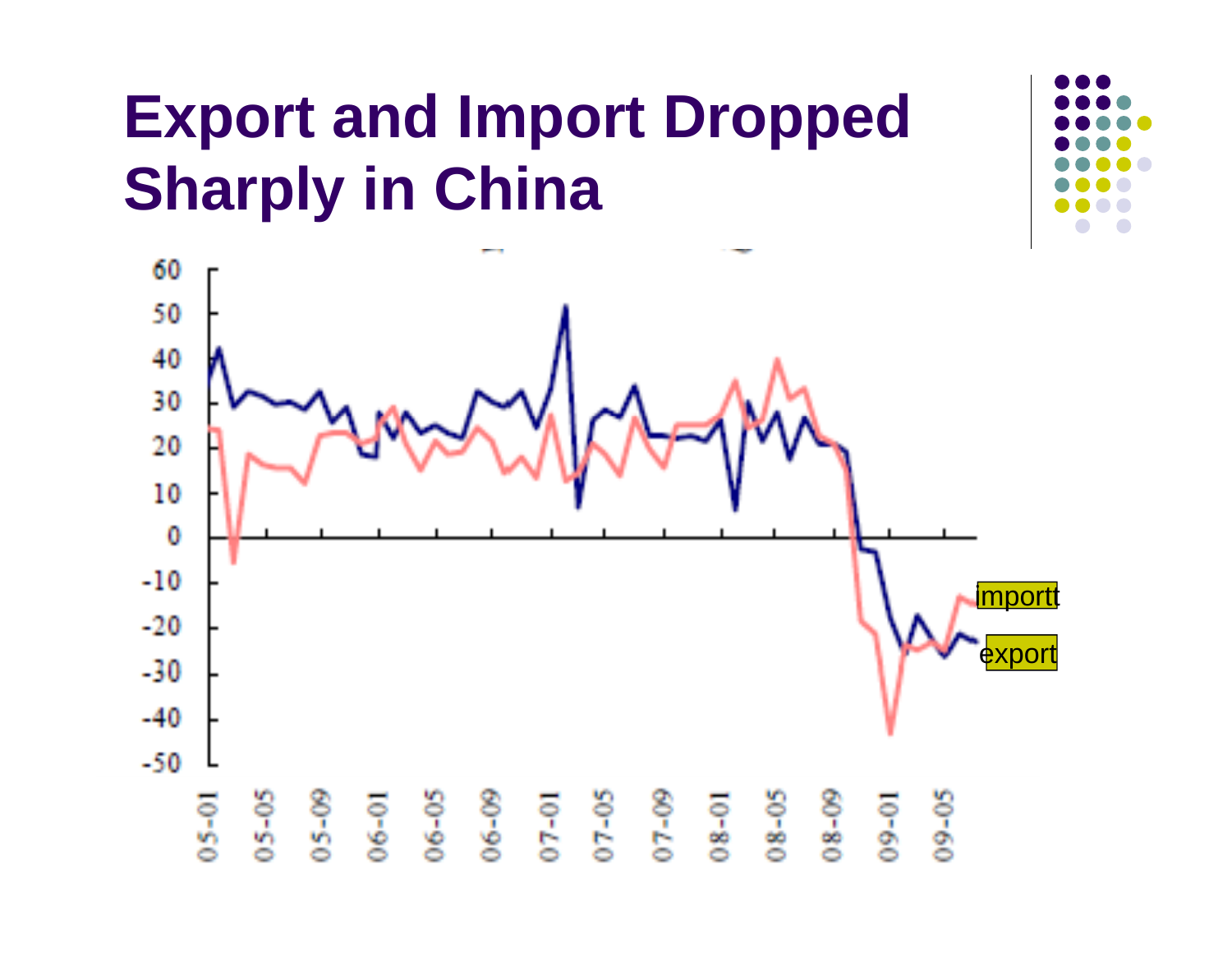## **Export and Import Dropped Sharply in China**



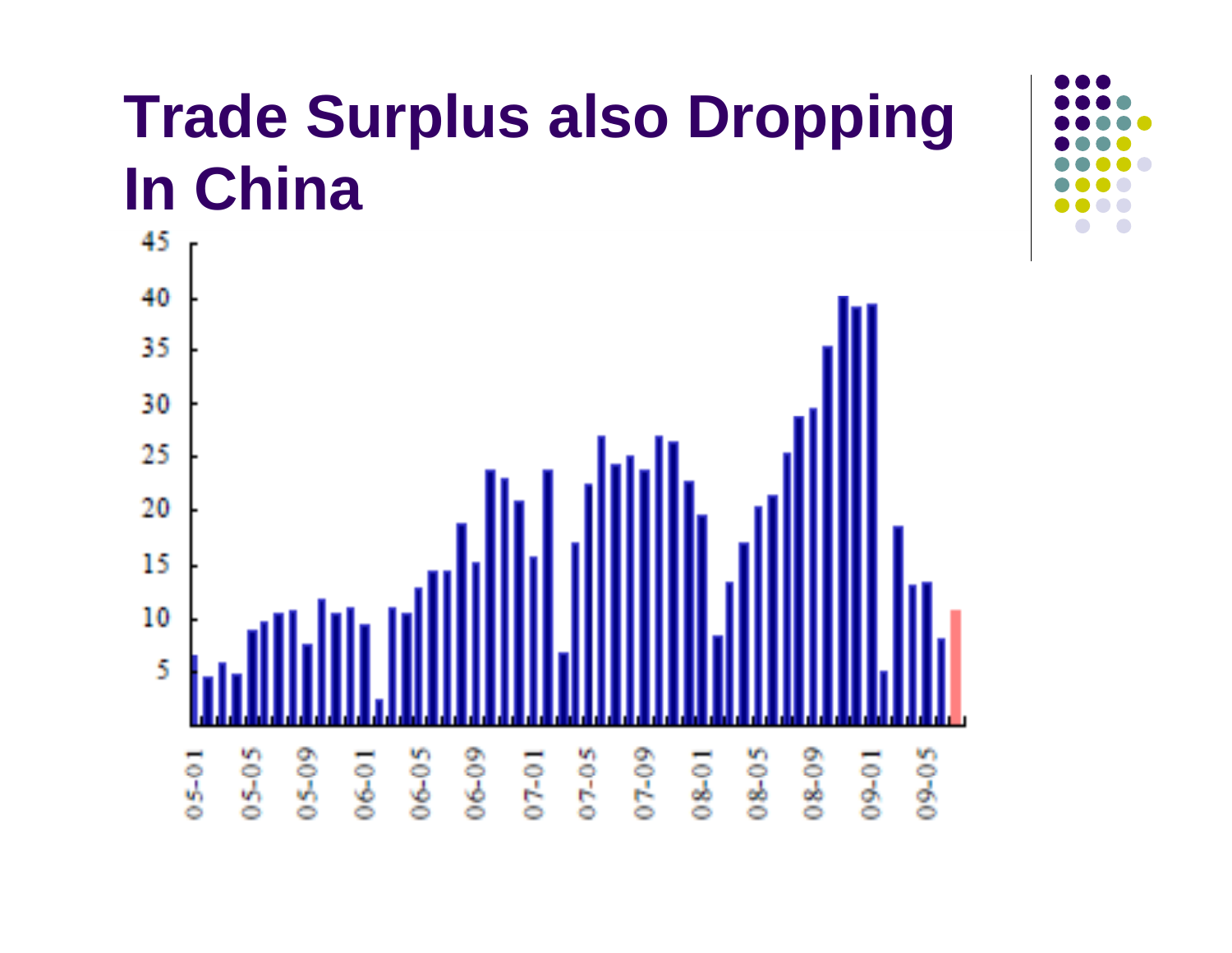### **Trade Surplus also Dropping In China**



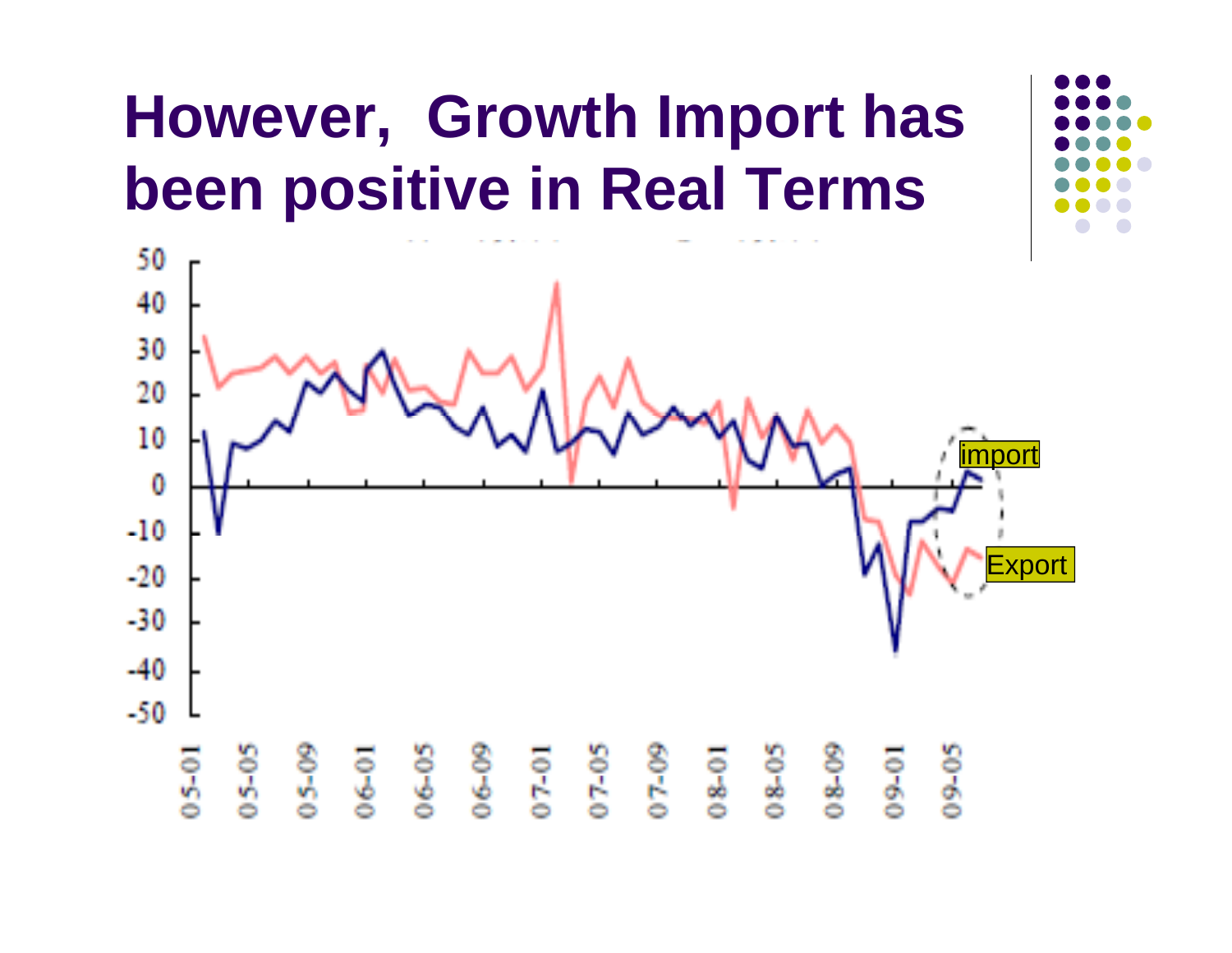## **However, Growth Import has been positive in Real Terms**

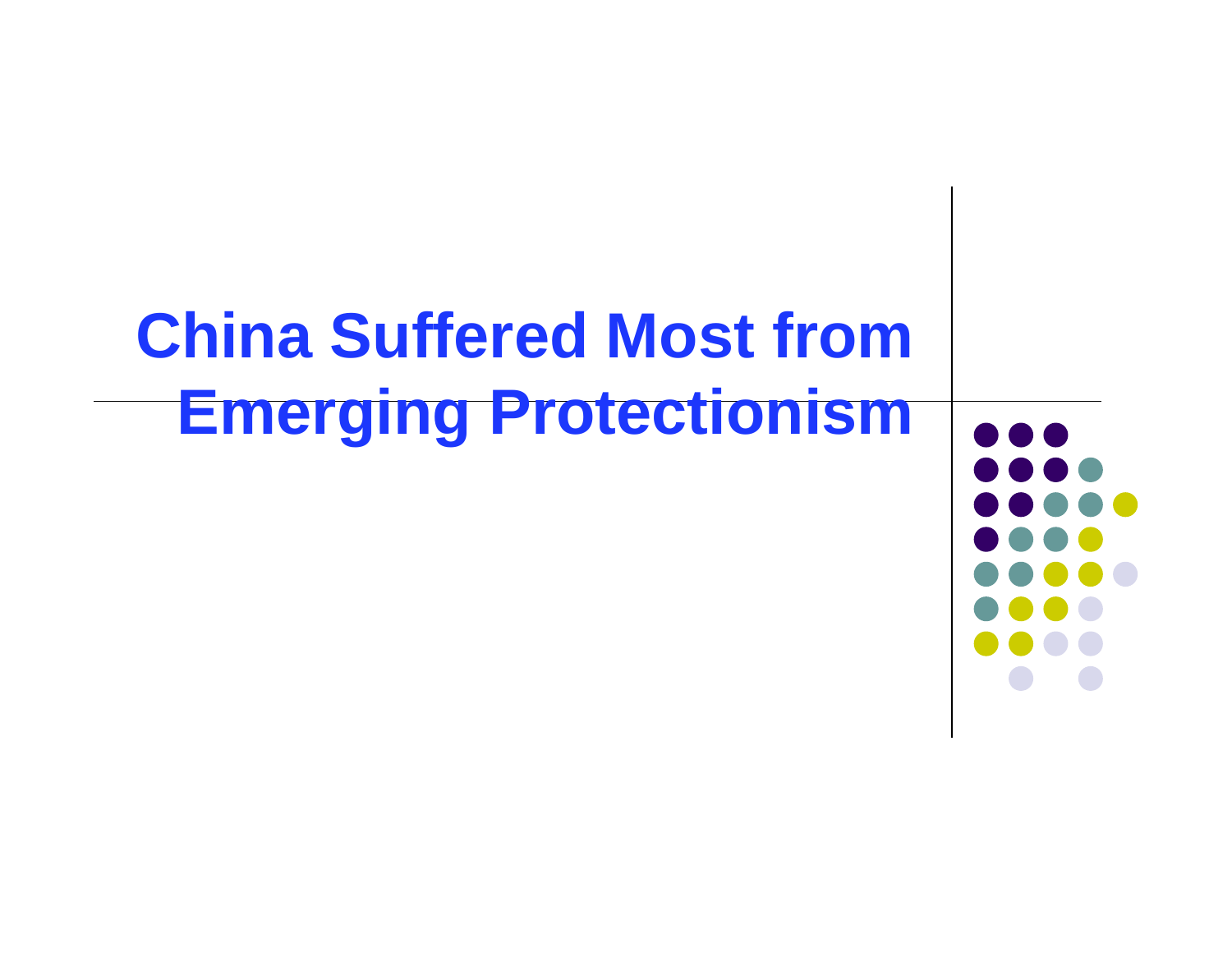## **China Suffered Most from Emerging Protectionism**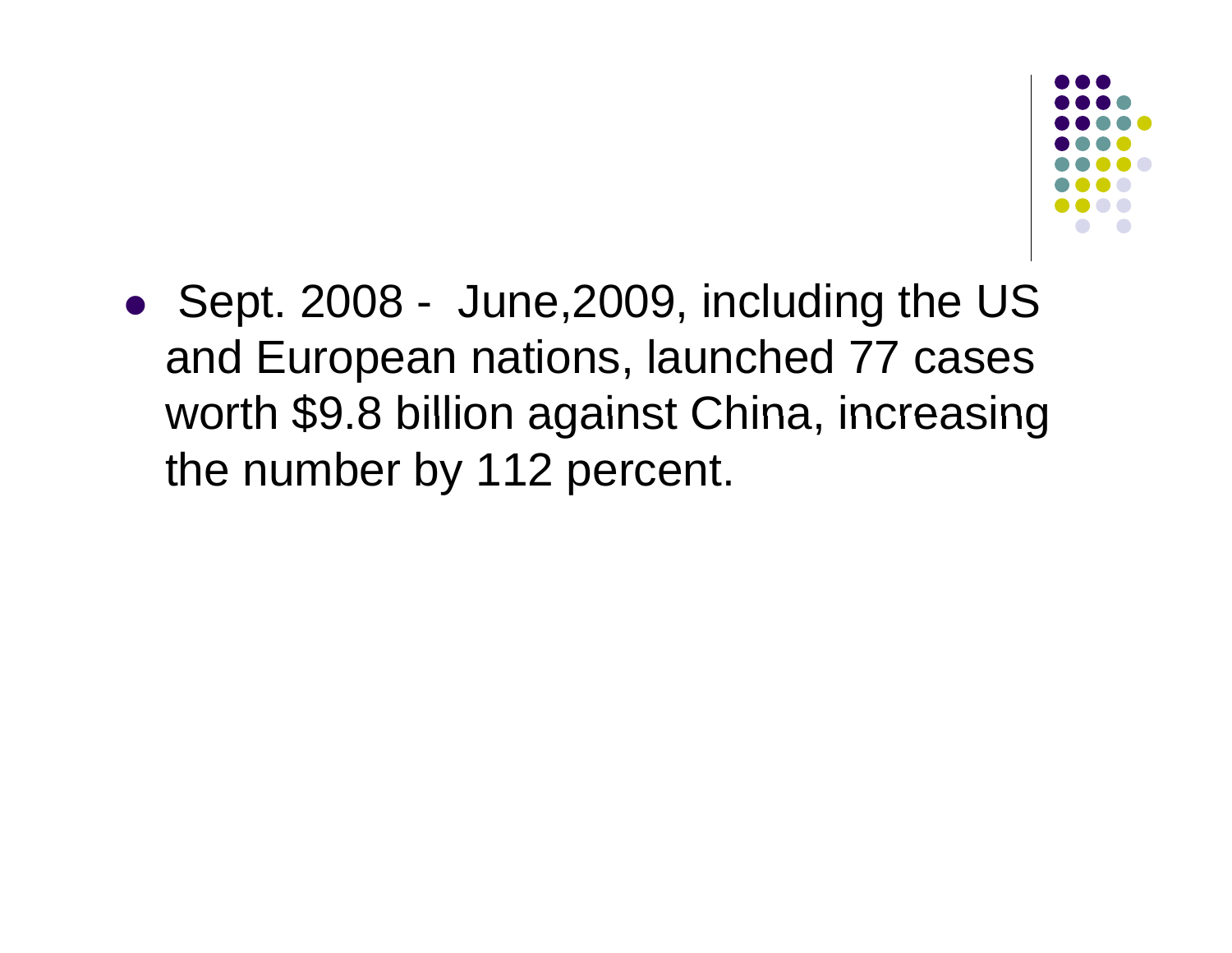

 $\bullet$  $\bullet$  Sept. 2008 - June,2009, including the US and European nations, launched 77 cases worth \$9.8 billion against China, increasing the number by 112 percent.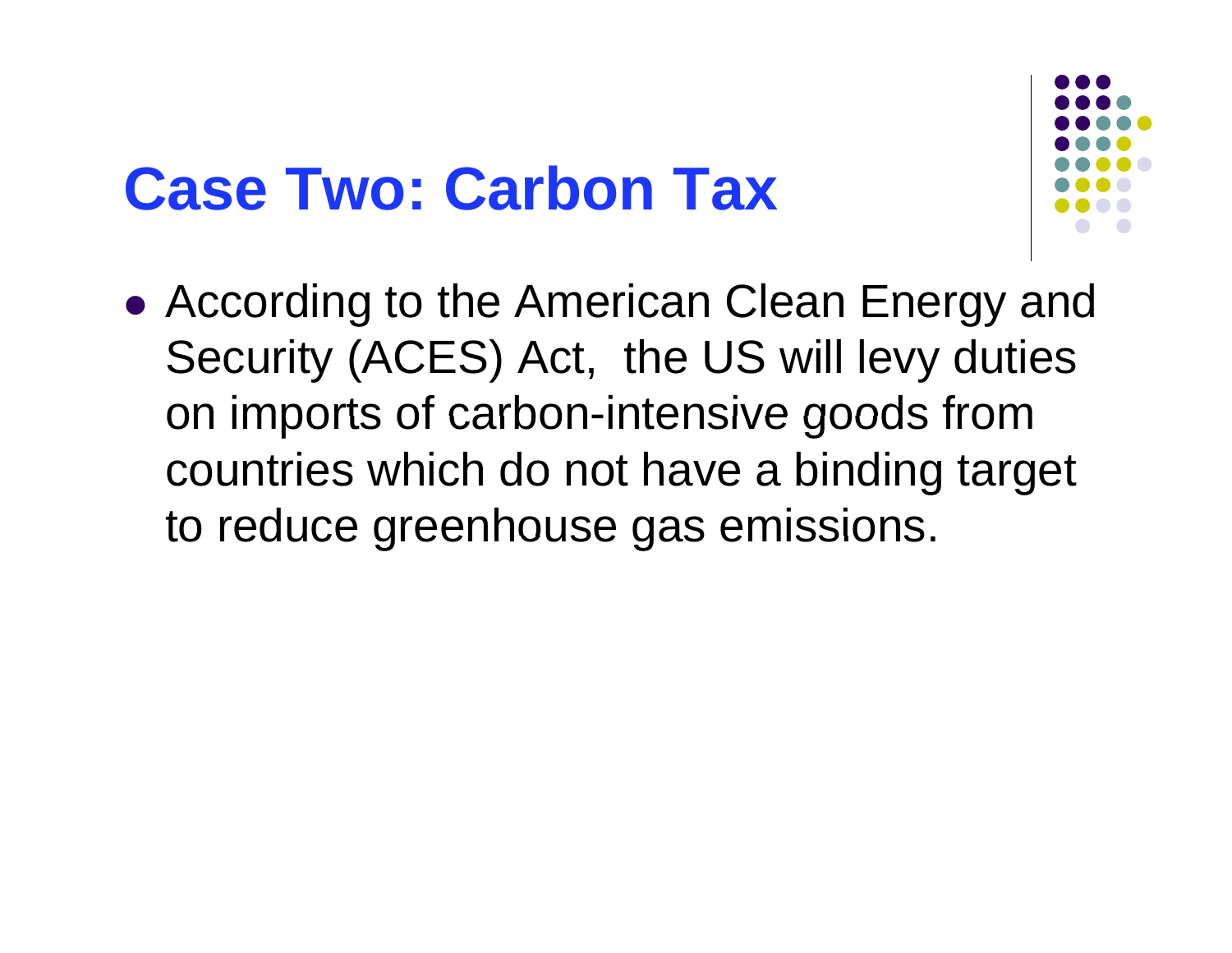#### **Case Two: Carbon Tax**



 $\bullet$  According to the American Clean Energy and Security (ACES) Act, the US will levy duties on imports of carbon-intensive goods from countries which do not have a binding target to reduce greenhouse gas emissions.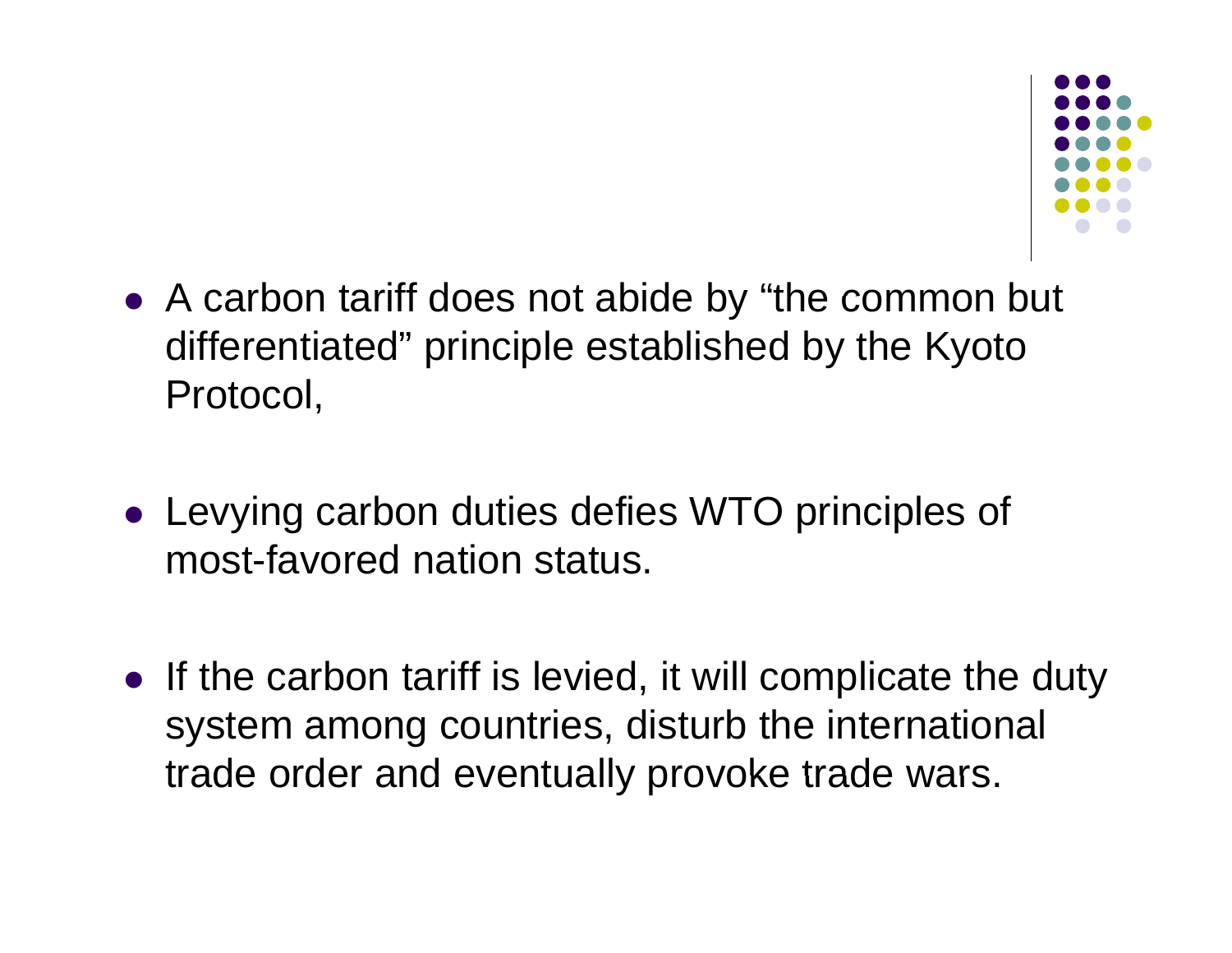

- $\bullet$  A carbon tariff does not abide by "the common but differentiated" principle established by the Kyoto Protocol,
- Levying carbon duties defies WTO principles of most-favored nation status.
- $\bullet$  If the carbon tariff is levied, it will complicate the duty system among countries, disturb the international trade order and eventually provoke trade wars.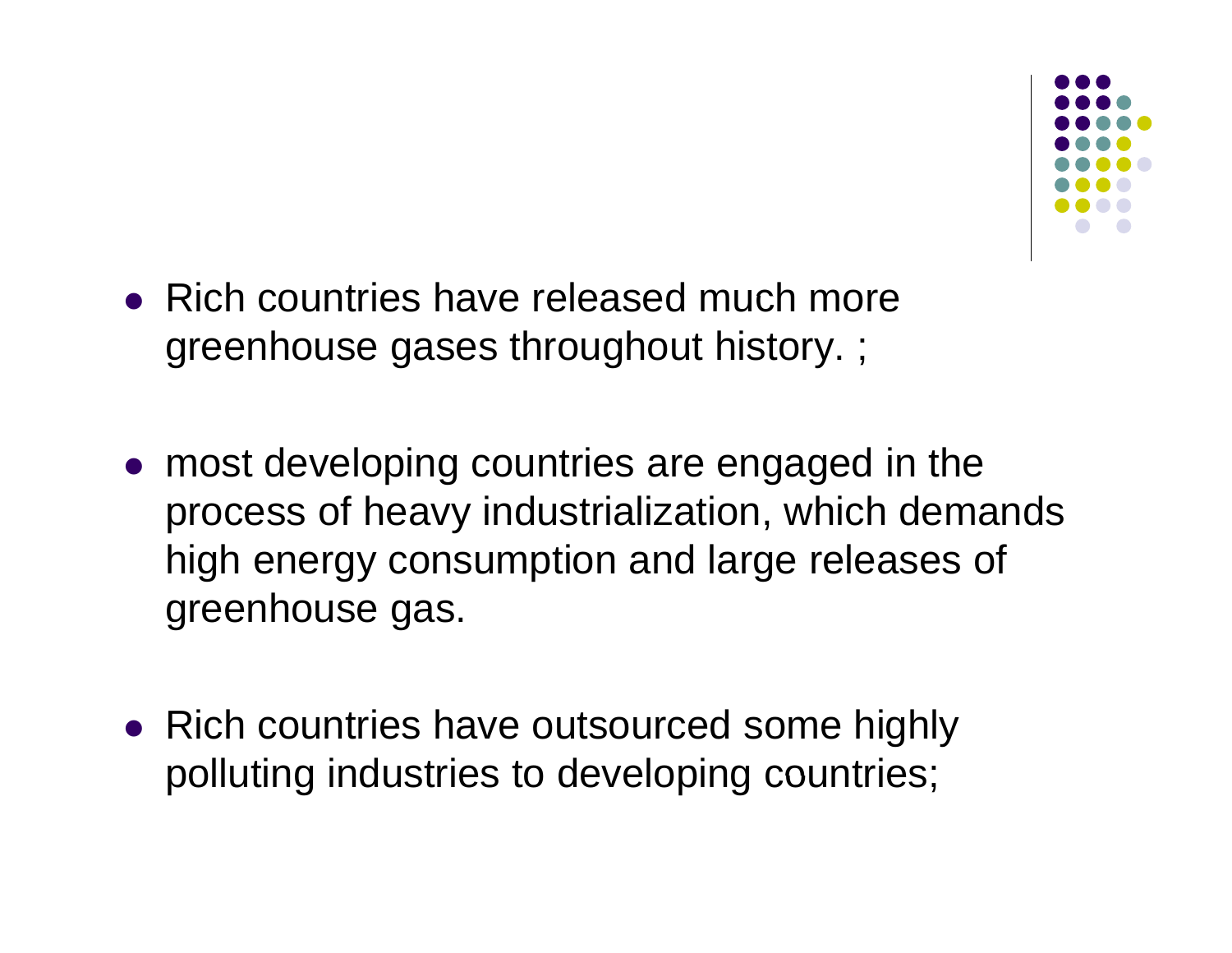

- Rich countries have released much more greenhouse gases throughout history. ;
- $\bullet$  most developing countries are engaged in the process of heavy industrialization, which demands high energy consumption and large releases of greenhouse gas.
- Rich countries have outsourced some highly polluting industries to developing countries;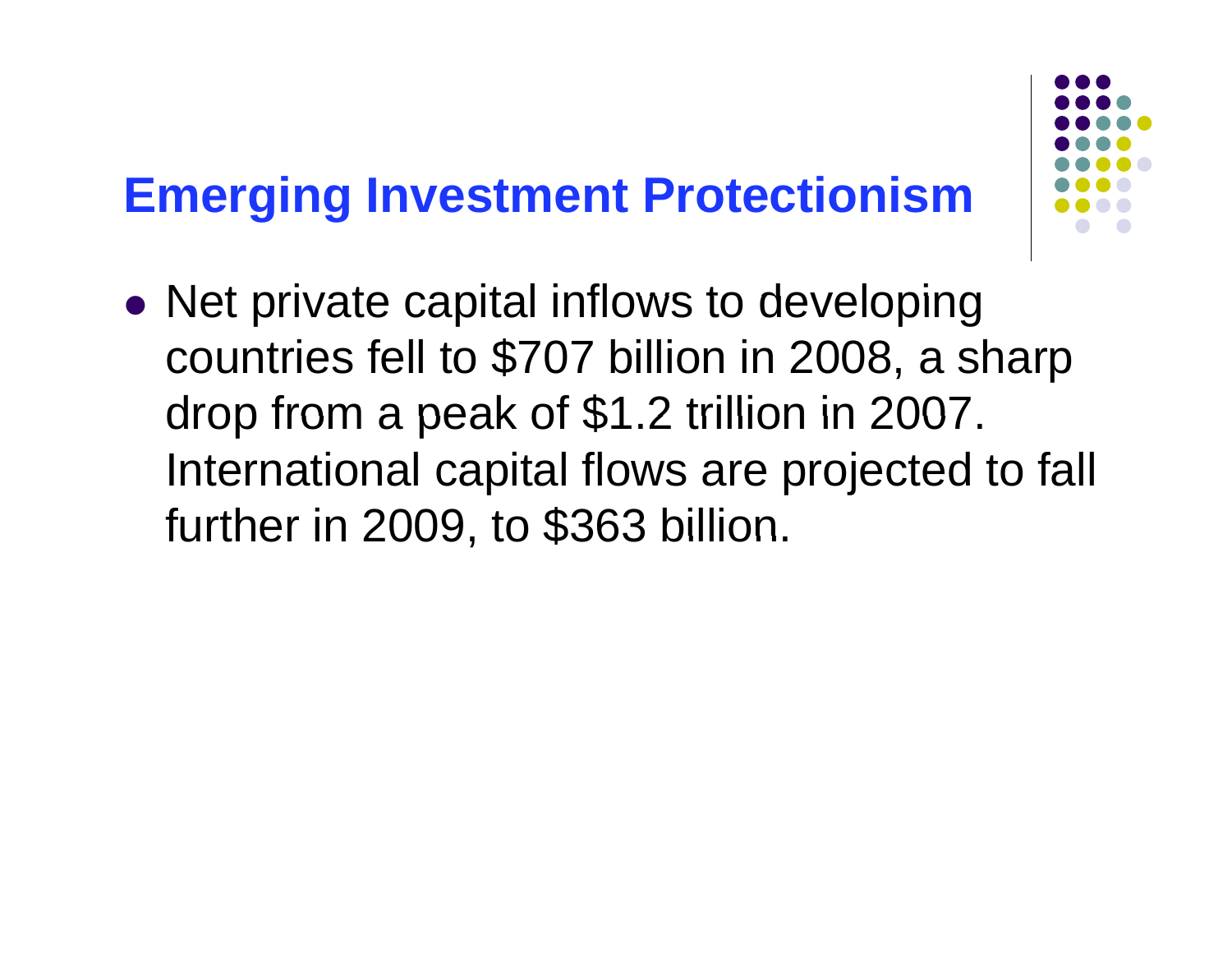#### **Emerging Investment Protectionism**

• Net private capital inflows to developing countries fell to \$707 billion in 2008, a sharp drop from a peak of \$1.2 trillion in 2007. International capital flows are projected to fall further in 2009, to  $$363$  billion.

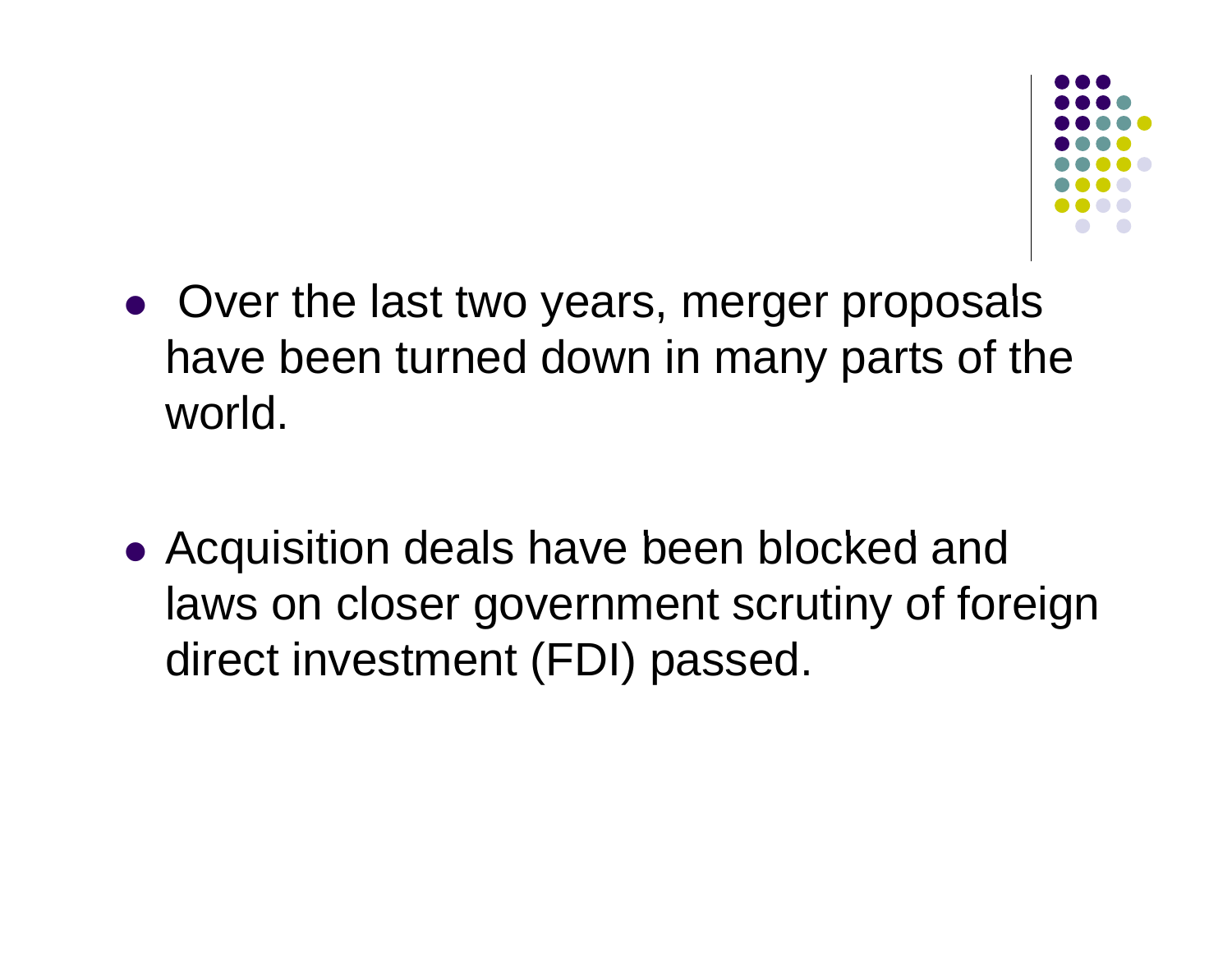

- $\bullet$  $\bullet$  Over the last two years, merger proposals have been turned down in many parts of the world.
- Acquisition deals have been blocked and laws on closer government scrutiny of foreign direct investment (FDI) passed.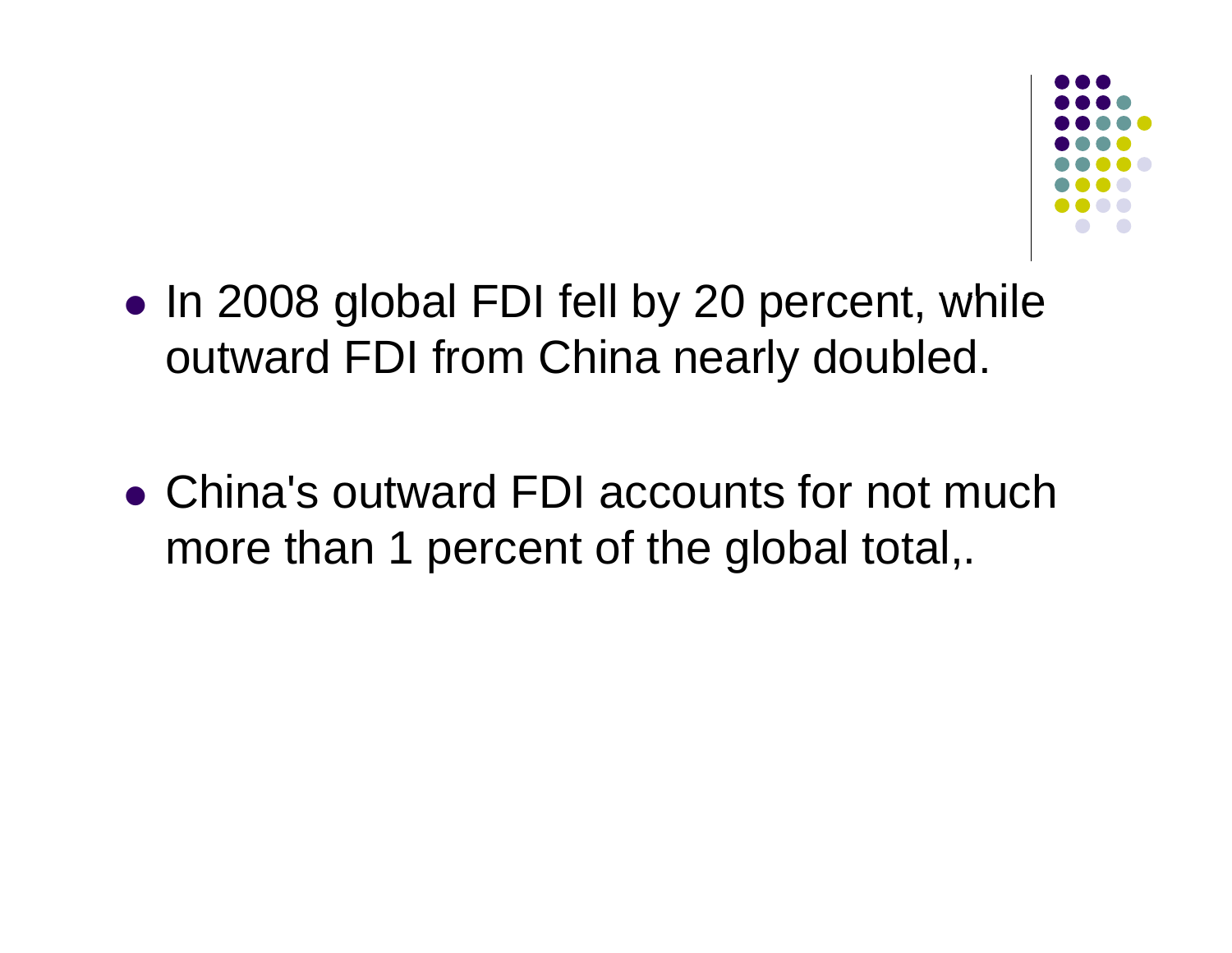

- In 2008 global FDI fell by 20 percent, while outward FDI from China nearly doubled.
- China's outward FDI accounts for not much more than 1 percent of the global total,.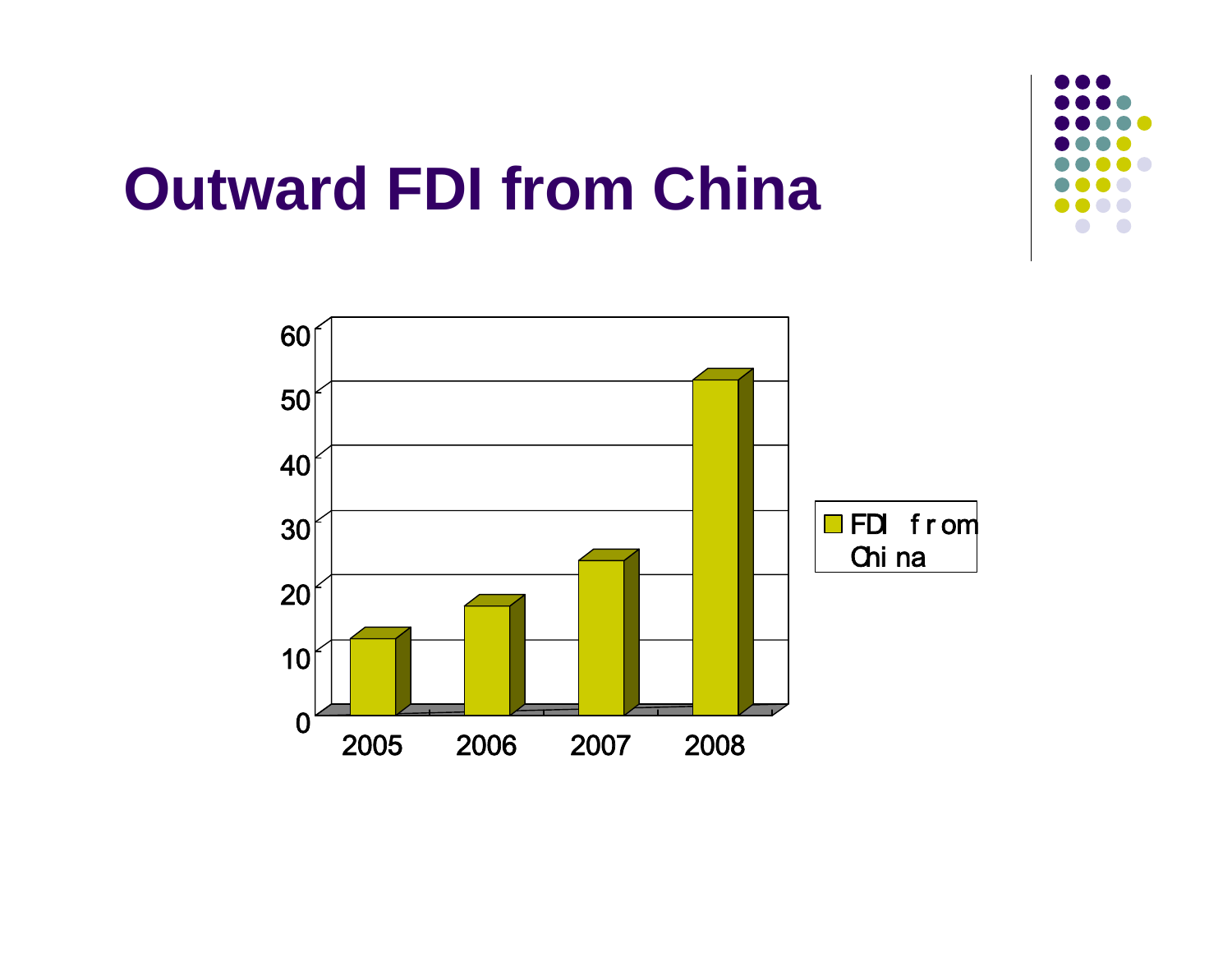#### **Outward FDI from China**



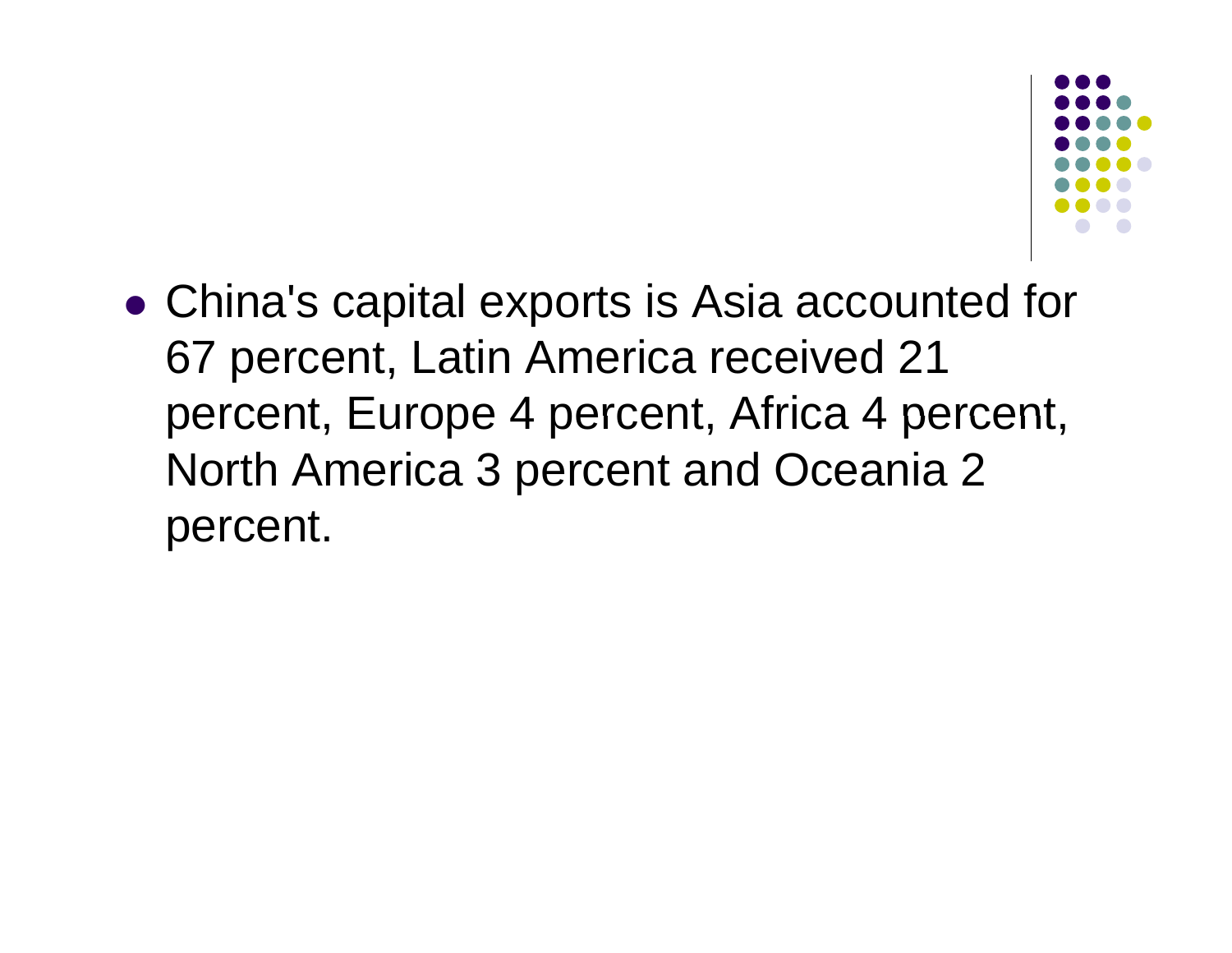

• China's capital exports is Asia accounted for 67 percent, Latin America received 21 percent, Europe 4 percent, Africa 4 percent, North America 3 percent and Oceania 2 percent.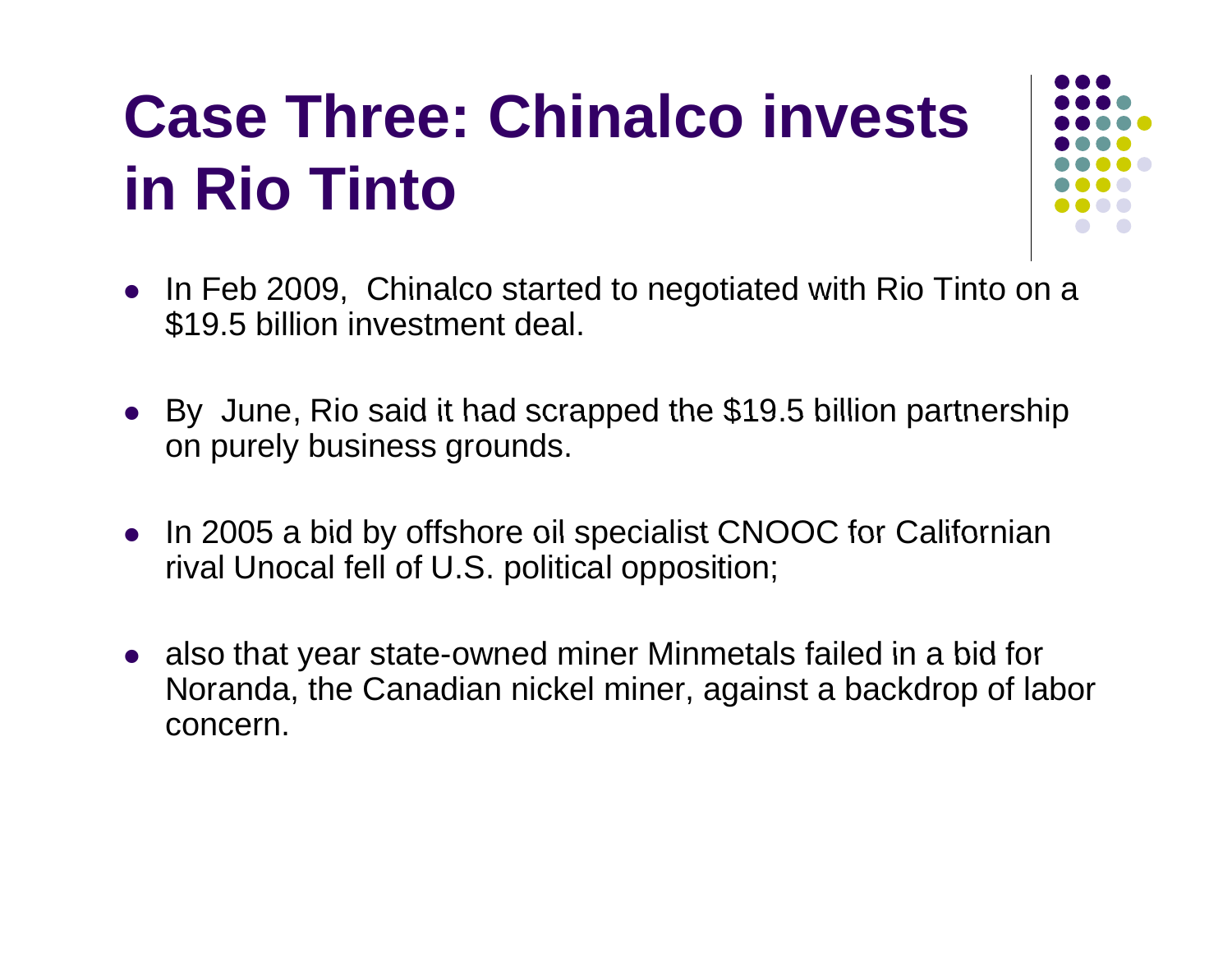## **Case Three: Chinalco invests i Ri Ti t in Rio nto**



- In Feb 2009, Chinalco started to negotiated with Rio Tinto on a \$19.5 billion investment deal.
- By June, Rio said it had scrapped the \$19.5 billion partnership on purely business grounds.
- In 2005 a bid by offshore oil specialist CNOOC for Californian rival Unocal fell of U.S. political opposition;
- also that year state-owned miner Minmetals failed in a bid for Noranda, the Canadian nickel miner, against a backdrop of labor concern.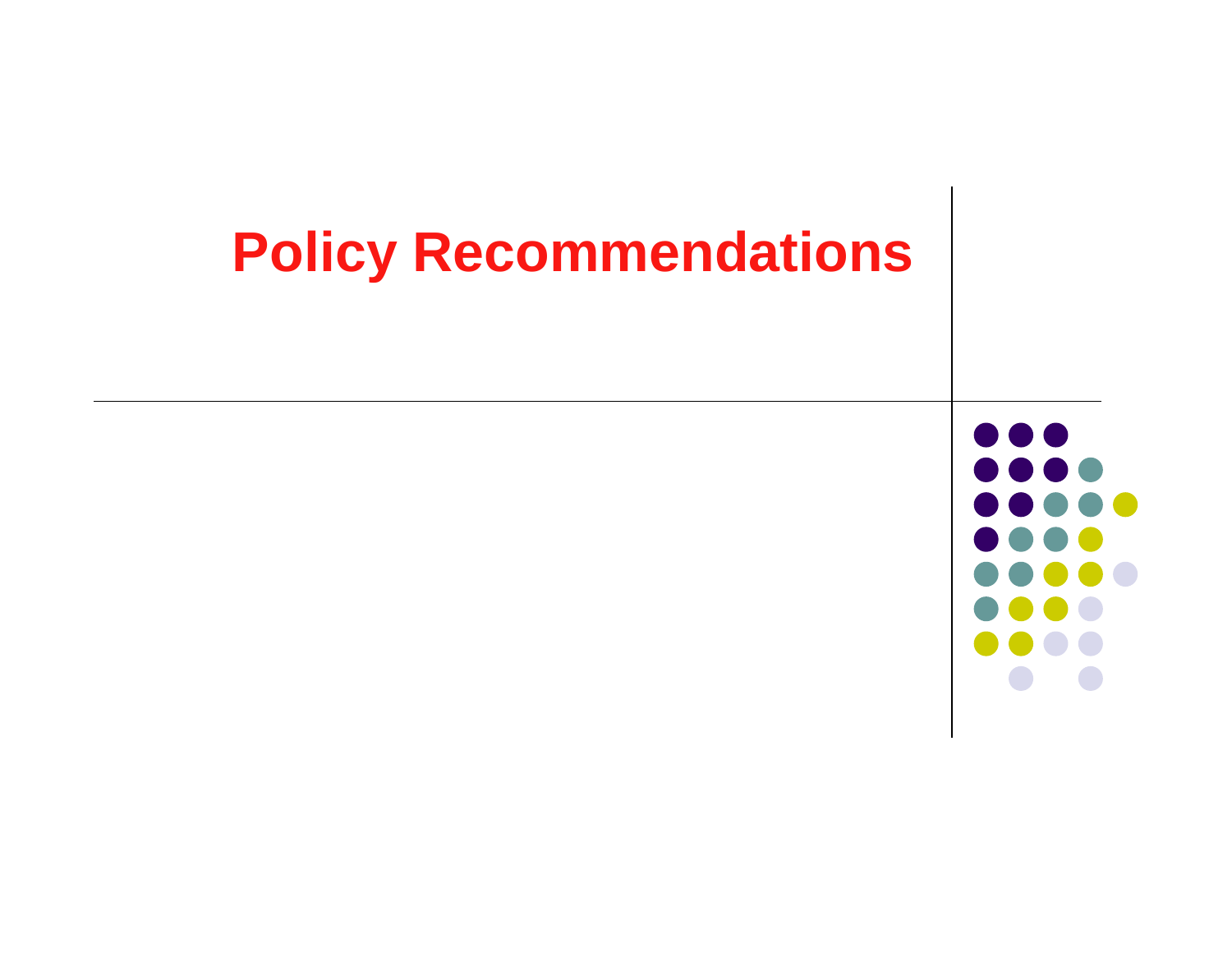#### **Policy Recommendations**